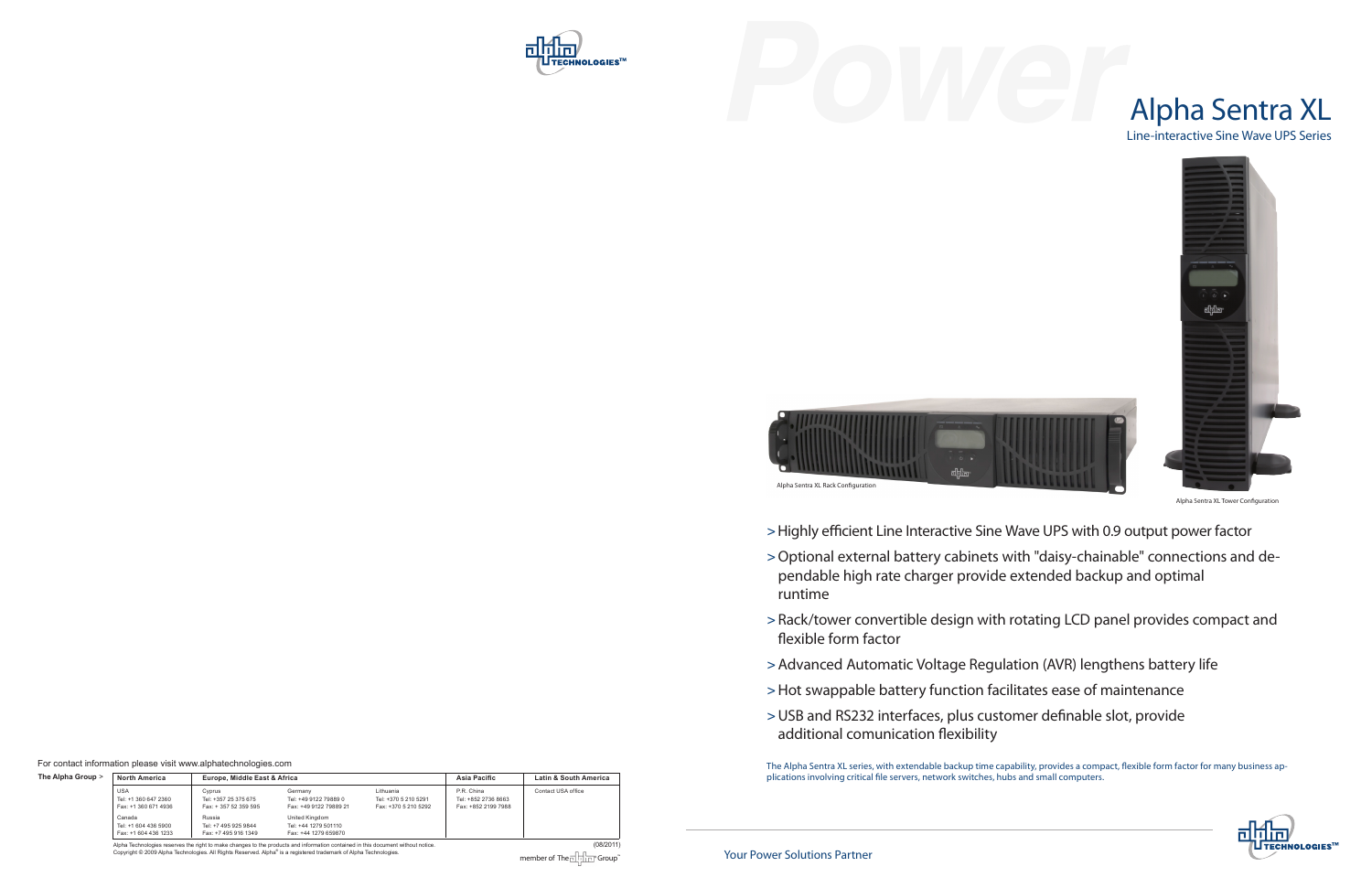| The Alpha Group > | <b>North America</b>                                                 | Europe, Middle East & Africa                                     |                                                                              |                                                           | Asia Pacific                                             | Latin & South America |
|-------------------|----------------------------------------------------------------------|------------------------------------------------------------------|------------------------------------------------------------------------------|-----------------------------------------------------------|----------------------------------------------------------|-----------------------|
|                   | <b>USA</b><br>Tel: +1 360 647 2360<br>Fax: +1 360 671 4936<br>Canada | Cyprus<br>Tel: +357 25 375 675<br>Fax: +357 52 359 595<br>Russia | Germany<br>Tel: +49 9122 79889 0<br>Fax: +49 9122 79889 21<br>United Kingdom | Lithuania<br>Tel: +370 5 210 5291<br>Fax: +370 5 210 5292 | P.R. China<br>Tel: +852 2736 8663<br>Fax: +852 2199 7988 | Contact USA office    |
|                   | Tel: +1 604 436 5900<br>Fax: +1 604 436 1233                         | Tel: +7 495 925 9844<br>Fax: +7 495 916 1349                     | Tel: +44 1279 501110<br>Fax: +44 1279 659870                                 |                                                           |                                                          |                       |

Alpha Technologies reserves the right to make changes to the products and information contained in this document without notice. (08/2011) (08/2011)<br>Copyright © 2009 Alpha Technologies. All Rights Reserved. Alpha® is a re

For contact information please visit www.alphatechnologies.com

The Alpha Sentra XL series, with extendable backup time capability, provides a compact, flexible form factor for many business applications involving critical file servers, network switches, hubs and small computers.

> Highly efficient Line Interactive Sine Wave UPS with 0.9 output power factor

> Optional external battery cabinets with "daisy-chainable" connections and de-





> Rack/tower convertible design with rotating LCD panel provides compact and



- 
- pendable high rate charger provide extended backup and optimal runtime
- flexible form factor
- > Advanced Automatic Voltage Regulation (AVR) lengthens battery life
- > Hot swappable battery function facilitates ease of maintenance
- > USB and RS232 interfaces, plus customer definable slot, provide additional comunication flexibility

Alpha Sentra XL Tower Configuration